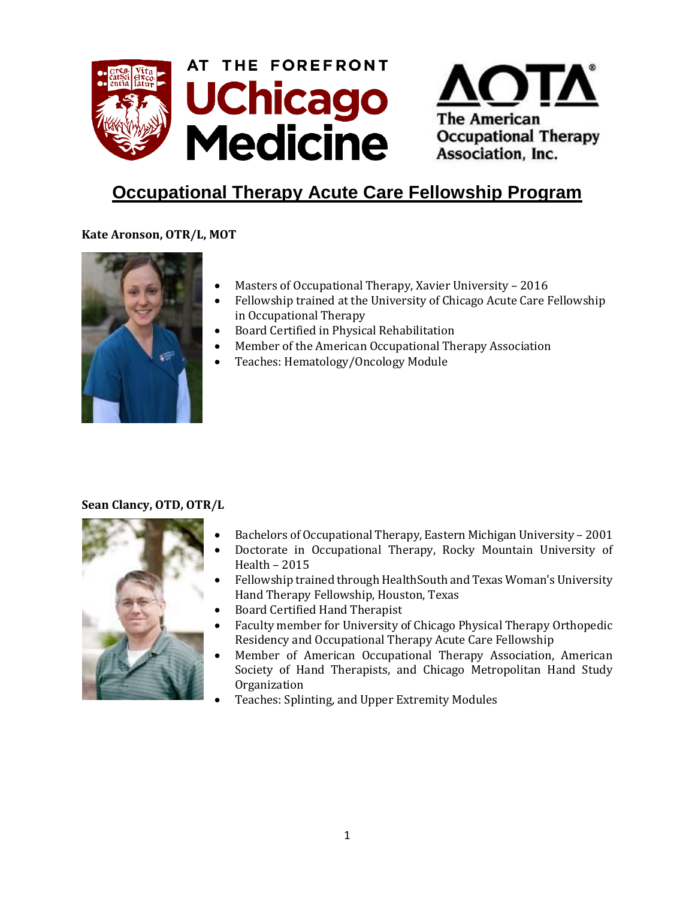



# **Occupational Therapy Acute Care Fellowship Program**

## **Kate Aronson, OTR/L, MOT**



- Masters of Occupational Therapy, Xavier University 2016
- Fellowship trained at the University of Chicago Acute Care Fellowship in Occupational Therapy
- Board Certified in Physical Rehabilitation
- Member of the American Occupational Therapy Association
- Teaches: Hematology/Oncology Module

## **Sean Clancy, OTD, OTR/L**



- Bachelors of Occupational Therapy, Eastern Michigan University 2001
- Doctorate in Occupational Therapy, Rocky Mountain University of Health – 2015
- Fellowship trained through HealthSouth and Texas Woman's University Hand Therapy Fellowship, Houston, Texas
- Board Certified Hand Therapist
- Faculty member for University of Chicago Physical Therapy Orthopedic Residency and Occupational Therapy Acute Care Fellowship
- Member of American Occupational Therapy Association, American Society of Hand Therapists, and Chicago Metropolitan Hand Study Organization
- Teaches: Splinting, and Upper Extremity Modules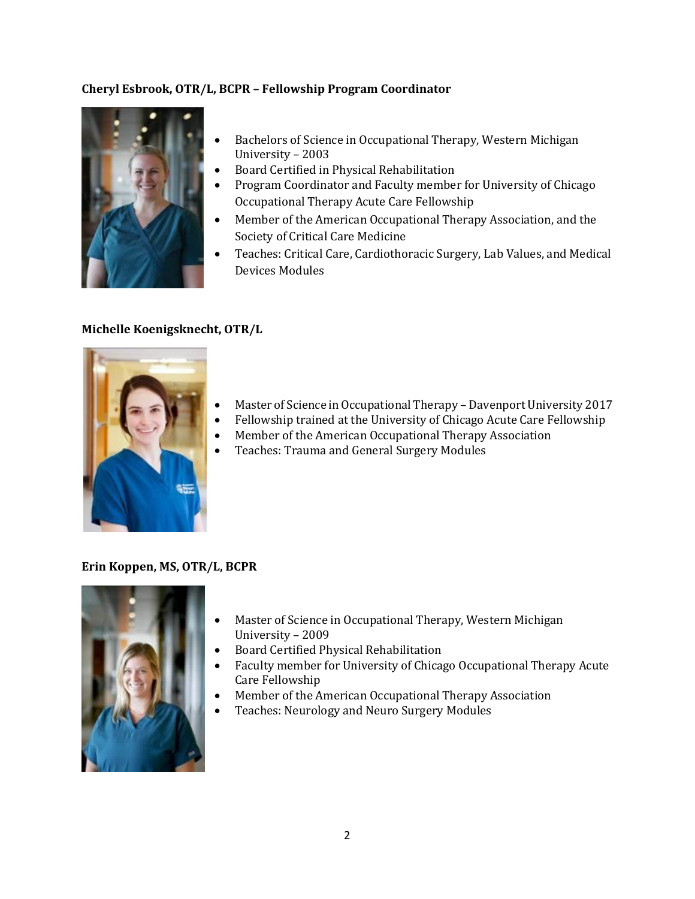## **Cheryl Esbrook, OTR/L, BCPR – Fellowship Program Coordinator**



- Bachelors of Science in Occupational Therapy, Western Michigan University – 2003
- Board Certified in Physical Rehabilitation
- Program Coordinator and Faculty member for University of Chicago Occupational Therapy Acute Care Fellowship
- Member of the American Occupational Therapy Association, and the Society of Critical Care Medicine
- Teaches: Critical Care, Cardiothoracic Surgery, Lab Values, and Medical Devices Modules

#### **Michelle Koenigsknecht, OTR/L**



- Master of Science in Occupational Therapy Davenport University 2017
- Fellowship trained at the University of Chicago Acute Care Fellowship
- Member of the American Occupational Therapy Association
- Teaches: Trauma and General Surgery Modules

#### **Erin Koppen, MS, OTR/L, BCPR**



- Master of Science in Occupational Therapy, Western Michigan University – 2009
- Board Certified Physical Rehabilitation
- Faculty member for University of Chicago Occupational Therapy Acute Care Fellowship
- Member of the American Occupational Therapy Association
- Teaches: Neurology and Neuro Surgery Modules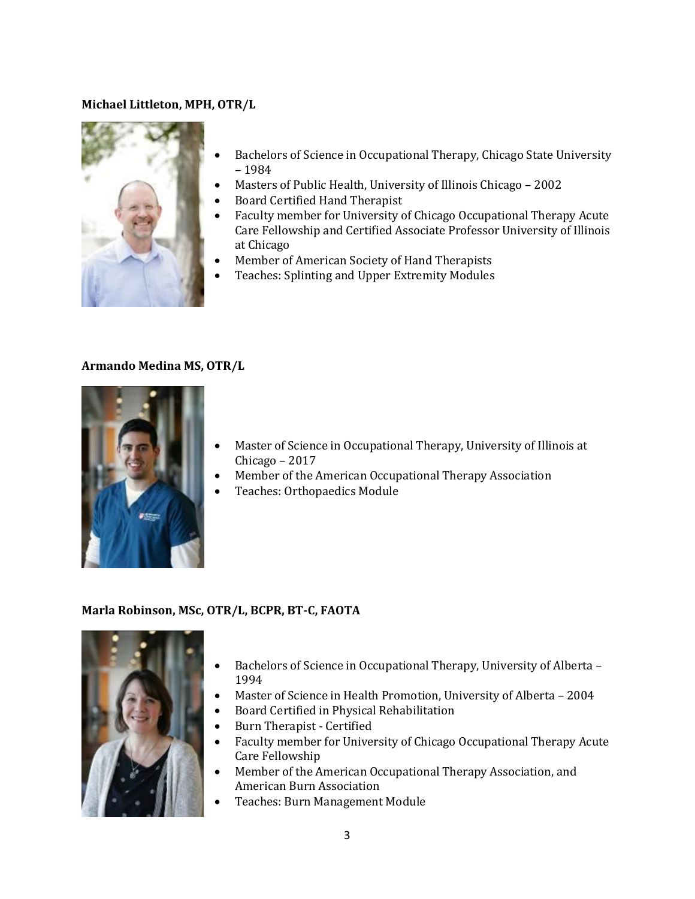#### **Michael Littleton, MPH, OTR/L**



- Bachelors of Science in Occupational Therapy, Chicago State University – 1984
- Masters of Public Health, University of Illinois Chicago 2002
- Board Certified Hand Therapist
- Faculty member for University of Chicago Occupational Therapy Acute Care Fellowship and Certified Associate Professor University of Illinois at Chicago
- Member of American Society of Hand Therapists
- Teaches: Splinting and Upper Extremity Modules

#### **Armando Medina MS, OTR/L**



- Master of Science in Occupational Therapy, University of Illinois at Chicago – 2017
- Member of the American Occupational Therapy Association
- Teaches: Orthopaedics Module

#### **Marla Robinson, MSc, OTR/L, BCPR, BT-C, FAOTA**



- Bachelors of Science in Occupational Therapy, University of Alberta 1994
- Master of Science in Health Promotion, University of Alberta 2004
- Board Certified in Physical Rehabilitation
- Burn Therapist Certified
- Faculty member for University of Chicago Occupational Therapy Acute Care Fellowship
- Member of the American Occupational Therapy Association, and American Burn Association
- Teaches: Burn Management Module